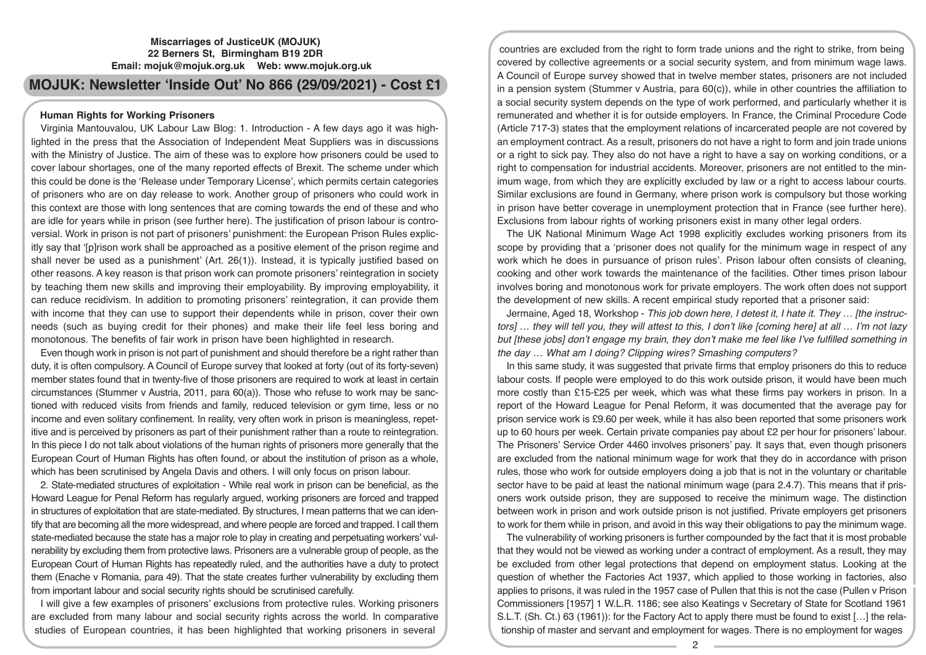# **MOJUK: Newsletter 'Inside Out' No 866 (29/09/2021) - Cost £1**

## **Human Rights for Working Prisoners**

Virginia Mantouvalou, UK Labour Law Blog: 1. Introduction - A few days ago it was highlighted in the press that the Association of Independent Meat Suppliers was in discussions with the Ministry of Justice. The aim of these was to explore how prisoners could be used to cover labour shortages, one of the many reported effects of Brexit. The scheme under which this could be done is the 'Release under Temporary License', which permits certain categories of prisoners who are on day release to work. Another group of prisoners who could work in this context are those with long sentences that are coming towards the end of these and who are idle for years while in prison (see further here). The justification of prison labour is controversial. Work in prison is not part of prisoners' punishment: the European Prison Rules explicitly say that '[p]rison work shall be approached as a positive element of the prison regime and shall never be used as a punishment' (Art. 26(1)). Instead, it is typically justified based on other reasons. A key reason is that prison work can promote prisoners' reintegration in society by teaching them new skills and improving their employability. By improving employability, it can reduce recidivism. In addition to promoting prisoners' reintegration, it can provide them with income that they can use to support their dependents while in prison, cover their own needs (such as buying credit for their phones) and make their life feel less boring and monotonous. The benefits of fair work in prison have been highlighted in research.

Even though work in prison is not part of punishment and should therefore be a right rather than duty, it is often compulsory. A Council of Europe survey that looked at forty (out of its forty-seven) member states found that in twenty-five of those prisoners are required to work at least in certain circumstances (Stummer v Austria, 2011, para 60(a)). Those who refuse to work may be sanctioned with reduced visits from friends and family, reduced television or gym time, less or no income and even solitary confinement. In reality, very often work in prison is meaningless, repetitive and is perceived by prisoners as part of their punishment rather than a route to reintegration. In this piece I do not talk about violations of the human rights of prisoners more generally that the European Court of Human Rights has often found, or about the institution of prison as a whole, which has been scrutinised by Angela Davis and others. I will only focus on prison labour.

2. State-mediated structures of exploitation - While real work in prison can be beneficial, as the Howard League for Penal Reform has regularly argued, working prisoners are forced and trapped in structures of exploitation that are state-mediated. By structures, I mean patterns that we can identify that are becoming all the more widespread, and where people are forced and trapped. I call them state-mediated because the state has a major role to play in creating and perpetuating workers' vulnerability by excluding them from protective laws. Prisoners are a vulnerable group of people, as the European Court of Human Rights has repeatedly ruled, and the authorities have a duty to protect them (Enache v Romania, para 49). That the state creates further vulnerability by excluding them from important labour and social security rights should be scrutinised carefully.

I will give a few examples of prisoners' exclusions from protective rules. Working prisoners are excluded from many labour and social security rights across the world. In comparative studies of European countries, it has been highlighted that working prisoners in several

countries are excluded from the right to form trade unions and the right to strike, from being covered by collective agreements or a social security system, and from minimum wage laws. A Council of Europe survey showed that in twelve member states, prisoners are not included in a pension system (Stummer v Austria, para 60(c)), while in other countries the affiliation to a social security system depends on the type of work performed, and particularly whether it is remunerated and whether it is for outside employers. In France, the Criminal Procedure Code (Article 717-3) states that the employment relations of incarcerated people are not covered by an employment contract. As a result, prisoners do not have a right to form and join trade unions or a right to sick pay. They also do not have a right to have a say on working conditions, or a right to compensation for industrial accidents. Moreover, prisoners are not entitled to the minimum wage, from which they are explicitly excluded by law or a right to access labour courts. Similar exclusions are found in Germany, where prison work is compulsory but those working in prison have better coverage in unemployment protection that in France (see further here). Exclusions from labour rights of working prisoners exist in many other legal orders.

The UK National Minimum Wage Act 1998 explicitly excludes working prisoners from its scope by providing that a 'prisoner does not qualify for the minimum wage in respect of any work which he does in pursuance of prison rules'. Prison labour often consists of cleaning, cooking and other work towards the maintenance of the facilities. Other times prison labour involves boring and monotonous work for private employers. The work often does not support the development of new skills. A recent empirical study reported that a prisoner said:

Jermaine, Aged 18, Workshop - *This job down here, I detest it, I hate it. They … [the instructors] … they will tell you, they will attest to this, I don't like [coming here] at all … I'm not lazy but [these jobs] don't engage my brain, they don't make me feel like I've fulfilled something in the day … What am I doing? Clipping wires? Smashing computers?* 

In this same study, it was suggested that private firms that employ prisoners do this to reduce labour costs. If people were employed to do this work outside prison, it would have been much more costly than £15-£25 per week, which was what these firms pay workers in prison. In a report of the Howard League for Penal Reform, it was documented that the average pay for prison service work is £9.60 per week, while it has also been reported that some prisoners work up to 60 hours per week. Certain private companies pay about £2 per hour for prisoners' labour. The Prisoners' Service Order 4460 involves prisoners' pay. It says that, even though prisoners are excluded from the national minimum wage for work that they do in accordance with prison rules, those who work for outside employers doing a job that is not in the voluntary or charitable sector have to be paid at least the national minimum wage (para 2.4.7). This means that if prisoners work outside prison, they are supposed to receive the minimum wage. The distinction between work in prison and work outside prison is not justified. Private employers get prisoners to work for them while in prison, and avoid in this way their obligations to pay the minimum wage.

The vulnerability of working prisoners is further compounded by the fact that it is most probable that they would not be viewed as working under a contract of employment. As a result, they may be excluded from other legal protections that depend on employment status. Looking at the question of whether the Factories Act 1937, which applied to those working in factories, also applies to prisons, it was ruled in the 1957 case of Pullen that this is not the case (Pullen v Prison Commissioners [1957] 1 W.L.R. 1186; see also Keatings v Secretary of State for Scotland 1961 S.L.T. (Sh. Ct.) 63 (1961)): for the Factory Act to apply there must be found to exist […] the relationship of master and servant and employment for wages. There is no employment for wages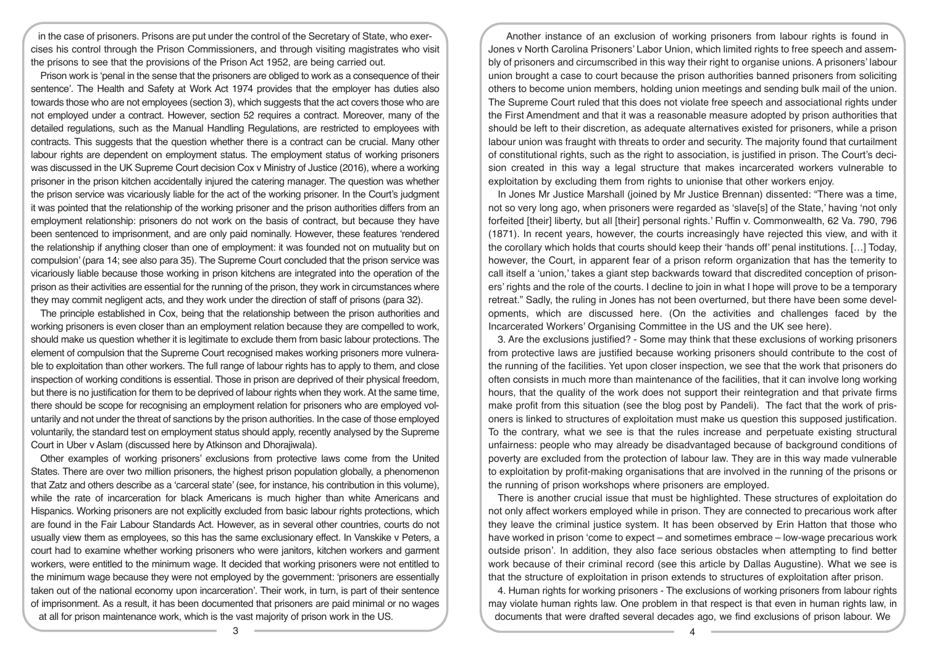in the case of prisoners. Prisons are put under the control of the Secretary of State, who exercises his control through the Prison Commissioners, and through visiting magistrates who visit the prisons to see that the provisions of the Prison Act 1952, are being carried out.

Prison work is 'penal in the sense that the prisoners are obliged to work as a consequence of their sentence'. The Health and Safety at Work Act 1974 provides that the employer has duties also towards those who are not employees (section 3), which suggests that the act covers those who are not employed under a contract. However, section 52 requires a contract. Moreover, many of the detailed regulations, such as the Manual Handling Regulations, are restricted to employees with contracts. This suggests that the question whether there is a contract can be crucial. Many other labour rights are dependent on employment status. The employment status of working prisoners was discussed in the UK Supreme Court decision Cox v Ministry of Justice (2016), where a working prisoner in the prison kitchen accidentally injured the catering manager. The question was whether the prison service was vicariously liable for the act of the working prisoner. In the Court's judgment it was pointed that the relationship of the working prisoner and the prison authorities differs from an employment relationship: prisoners do not work on the basis of contract, but because they have been sentenced to imprisonment, and are only paid nominally. However, these features 'rendered the relationship if anything closer than one of employment: it was founded not on mutuality but on compulsion' (para 14; see also para 35). The Supreme Court concluded that the prison service was vicariously liable because those working in prison kitchens are integrated into the operation of the prison as their activities are essential for the running of the prison, they work in circumstances where they may commit negligent acts, and they work under the direction of staff of prisons (para 32).

The principle established in Cox, being that the relationship between the prison authorities and working prisoners is even closer than an employment relation because they are compelled to work, should make us question whether it is legitimate to exclude them from basic labour protections. The element of compulsion that the Supreme Court recognised makes working prisoners more vulnerable to exploitation than other workers. The full range of labour rights has to apply to them, and close inspection of working conditions is essential. Those in prison are deprived of their physical freedom, but there is no justification for them to be deprived of labour rights when they work. At the same time, there should be scope for recognising an employment relation for prisoners who are employed voluntarily and not under the threat of sanctions by the prison authorities. In the case of those employed voluntarily, the standard test on employment status should apply, recently analysed by the Supreme Court in Uber v Aslam (discussed here by Atkinson and Dhorajiwala).

Other examples of working prisoners' exclusions from protective laws come from the United States. There are over two million prisoners, the highest prison population globally, a phenomenon that Zatz and others describe as a 'carceral state' (see, for instance, his contribution in this volume), while the rate of incarceration for black Americans is much higher than white Americans and Hispanics. Working prisoners are not explicitly excluded from basic labour rights protections, which are found in the Fair Labour Standards Act. However, as in several other countries, courts do not usually view them as employees, so this has the same exclusionary effect. In Vanskike v Peters, a court had to examine whether working prisoners who were janitors, kitchen workers and garment workers, were entitled to the minimum wage. It decided that working prisoners were not entitled to the minimum wage because they were not employed by the government: 'prisoners are essentially taken out of the national economy upon incarceration'. Their work, in turn, is part of their sentence of imprisonment. As a result, it has been documented that prisoners are paid minimal or no wages at all for prison maintenance work, which is the vast majority of prison work in the US.

Another instance of an exclusion of working prisoners from labour rights is found in Jones v North Carolina Prisoners' Labor Union, which limited rights to free speech and assembly of prisoners and circumscribed in this way their right to organise unions. A prisoners' labour union brought a case to court because the prison authorities banned prisoners from soliciting others to become union members, holding union meetings and sending bulk mail of the union. The Supreme Court ruled that this does not violate free speech and associational rights under the First Amendment and that it was a reasonable measure adopted by prison authorities that should be left to their discretion, as adequate alternatives existed for prisoners, while a prison labour union was fraught with threats to order and security. The majority found that curtailment of constitutional rights, such as the right to association, is justified in prison. The Court's decision created in this way a legal structure that makes incarcerated workers vulnerable to exploitation by excluding them from rights to unionise that other workers enjoy.

In Jones Mr Justice Marshall (joined by Mr Justice Brennan) dissented: "There was a time, not so very long ago, when prisoners were regarded as 'slave[s] of the State,' having 'not only forfeited [their] liberty, but all [their] personal rights.' Ruffin v. Commonwealth, 62 Va. 790, 796 (1871). In recent years, however, the courts increasingly have rejected this view, and with it the corollary which holds that courts should keep their 'hands off' penal institutions. […] Today, however, the Court, in apparent fear of a prison reform organization that has the temerity to call itself a 'union,' takes a giant step backwards toward that discredited conception of prisoners' rights and the role of the courts. I decline to join in what I hope will prove to be a temporary retreat." Sadly, the ruling in Jones has not been overturned, but there have been some developments, which are discussed here. (On the activities and challenges faced by the Incarcerated Workers' Organising Committee in the US and the UK see here).

3. Are the exclusions justified? - Some may think that these exclusions of working prisoners from protective laws are justified because working prisoners should contribute to the cost of the running of the facilities. Yet upon closer inspection, we see that the work that prisoners do often consists in much more than maintenance of the facilities, that it can involve long working hours, that the quality of the work does not support their reintegration and that private firms make profit from this situation (see the blog post by Pandeli). The fact that the work of prisoners is linked to structures of exploitation must make us question this supposed justification. To the contrary, what we see is that the rules increase and perpetuate existing structural unfairness: people who may already be disadvantaged because of background conditions of poverty are excluded from the protection of labour law. They are in this way made vulnerable to exploitation by profit-making organisations that are involved in the running of the prisons or the running of prison workshops where prisoners are employed.

There is another crucial issue that must be highlighted. These structures of exploitation do not only affect workers employed while in prison. They are connected to precarious work after they leave the criminal justice system. It has been observed by Erin Hatton that those who have worked in prison 'come to expect – and sometimes embrace – low-wage precarious work outside prison'. In addition, they also face serious obstacles when attempting to find better work because of their criminal record (see this article by Dallas Augustine). What we see is that the structure of exploitation in prison extends to structures of exploitation after prison.

4. Human rights for working prisoners - The exclusions of working prisoners from labour rights may violate human rights law. One problem in that respect is that even in human rights law, in documents that were drafted several decades ago, we find exclusions of prison labour. We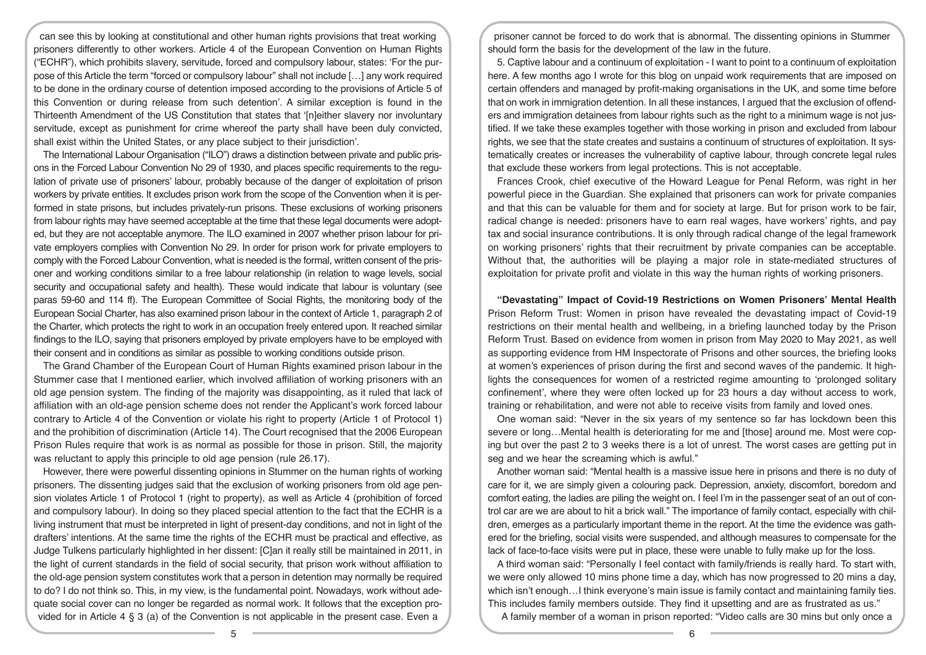can see this by looking at constitutional and other human rights provisions that treat working prisoners differently to other workers. Article 4 of the European Convention on Human Rights ("ECHR"), which prohibits slavery, servitude, forced and compulsory labour, states: 'For the purpose of this Article the term "forced or compulsory labour" shall not include […] any work required to be done in the ordinary course of detention imposed according to the provisions of Article 5 of this Convention or during release from such detention'. A similar exception is found in the Thirteenth Amendment of the US Constitution that states that '[n]either slavery nor involuntary servitude, except as punishment for crime whereof the party shall have been duly convicted, shall exist within the United States, or any place subject to their jurisdiction'.

The International Labour Organisation ("ILO") draws a distinction between private and public prisons in the Forced Labour Convention No 29 of 1930, and places specific requirements to the regulation of private use of prisoners' labour, probably because of the danger of exploitation of prison workers by private entities. It excludes prison work from the scope of the Convention when it is performed in state prisons, but includes privately-run prisons. These exclusions of working prisoners from labour rights may have seemed acceptable at the time that these legal documents were adopted, but they are not acceptable anymore. The ILO examined in 2007 whether prison labour for private employers complies with Convention No 29. In order for prison work for private employers to comply with the Forced Labour Convention, what is needed is the formal, written consent of the prisoner and working conditions similar to a free labour relationship (in relation to wage levels, social security and occupational safety and health). These would indicate that labour is voluntary (see paras 59-60 and 114 ff). The European Committee of Social Rights, the monitoring body of the European Social Charter, has also examined prison labour in the context of Article 1, paragraph 2 of the Charter, which protects the right to work in an occupation freely entered upon. It reached similar findings to the ILO, saying that prisoners employed by private employers have to be employed with their consent and in conditions as similar as possible to working conditions outside prison.

The Grand Chamber of the European Court of Human Rights examined prison labour in the Stummer case that I mentioned earlier, which involved affiliation of working prisoners with an old age pension system. The finding of the majority was disappointing, as it ruled that lack of affiliation with an old-age pension scheme does not render the Applicant's work forced labour contrary to Article 4 of the Convention or violate his right to property (Article 1 of Protocol 1) and the prohibition of discrimination (Article 14). The Court recognised that the 2006 European Prison Rules require that work is as normal as possible for those in prison. Still, the majority was reluctant to apply this principle to old age pension (rule 26.17).

However, there were powerful dissenting opinions in Stummer on the human rights of working prisoners. The dissenting judges said that the exclusion of working prisoners from old age pension violates Article 1 of Protocol 1 (right to property), as well as Article 4 (prohibition of forced and compulsory labour). In doing so they placed special attention to the fact that the ECHR is a living instrument that must be interpreted in light of present-day conditions, and not in light of the drafters' intentions. At the same time the rights of the ECHR must be practical and effective, as Judge Tulkens particularly highlighted in her dissent: [C]an it really still be maintained in 2011, in the light of current standards in the field of social security, that prison work without affiliation to the old-age pension system constitutes work that a person in detention may normally be required to do? I do not think so. This, in my view, is the fundamental point. Nowadays, work without adequate social cover can no longer be regarded as normal work. It follows that the exception provided for in Article 4 § 3 (a) of the Convention is not applicable in the present case. Even a

prisoner cannot be forced to do work that is abnormal. The dissenting opinions in Stummer should form the basis for the development of the law in the future.

5. Captive labour and a continuum of exploitation - I want to point to a continuum of exploitation here. A few months ago I wrote for this blog on unpaid work requirements that are imposed on certain offenders and managed by profit-making organisations in the UK, and some time before that on work in immigration detention. In all these instances, I argued that the exclusion of offenders and immigration detainees from labour rights such as the right to a minimum wage is not justified. If we take these examples together with those working in prison and excluded from labour rights, we see that the state creates and sustains a continuum of structures of exploitation. It systematically creates or increases the vulnerability of captive labour, through concrete legal rules that exclude these workers from legal protections. This is not acceptable.

Frances Crook, chief executive of the Howard League for Penal Reform, was right in her powerful piece in the Guardian. She explained that prisoners can work for private companies and that this can be valuable for them and for society at large. But for prison work to be fair, radical change is needed: prisoners have to earn real wages, have workers' rights, and pay tax and social insurance contributions. It is only through radical change of the legal framework on working prisoners' rights that their recruitment by private companies can be acceptable. Without that, the authorities will be playing a major role in state-mediated structures of exploitation for private profit and violate in this way the human rights of working prisoners.

**"Devastating" Impact of Covid-19 Restrictions on Women Prisoners' Mental Health**  Prison Reform Trust: Women in prison have revealed the devastating impact of Covid-19 restrictions on their mental health and wellbeing, in a briefing launched today by the Prison Reform Trust. Based on evidence from women in prison from May 2020 to May 2021, as well as supporting evidence from HM Inspectorate of Prisons and other sources, the briefing looks at women's experiences of prison during the first and second waves of the pandemic. It highlights the consequences for women of a restricted regime amounting to 'prolonged solitary confinement', where they were often locked up for 23 hours a day without access to work, training or rehabilitation, and were not able to receive visits from family and loved ones.

One woman said: "Never in the six years of my sentence so far has lockdown been this severe or long…Mental health is deteriorating for me and [those] around me. Most were coping but over the past 2 to 3 weeks there is a lot of unrest. The worst cases are getting put in seg and we hear the screaming which is awful."

Another woman said: "Mental health is a massive issue here in prisons and there is no duty of care for it, we are simply given a colouring pack. Depression, anxiety, discomfort, boredom and comfort eating, the ladies are piling the weight on. I feel I'm in the passenger seat of an out of control car are we are about to hit a brick wall." The importance of family contact, especially with children, emerges as a particularly important theme in the report. At the time the evidence was gathered for the briefing, social visits were suspended, and although measures to compensate for the lack of face-to-face visits were put in place, these were unable to fully make up for the loss.

A third woman said: "Personally I feel contact with family/friends is really hard. To start with, we were only allowed 10 mins phone time a day, which has now progressed to 20 mins a day, which isn't enough... I think everyone's main issue is family contact and maintaining family ties. This includes family members outside. They find it upsetting and are as frustrated as us."

A family member of a woman in prison reported: "Video calls are 30 mins but only once a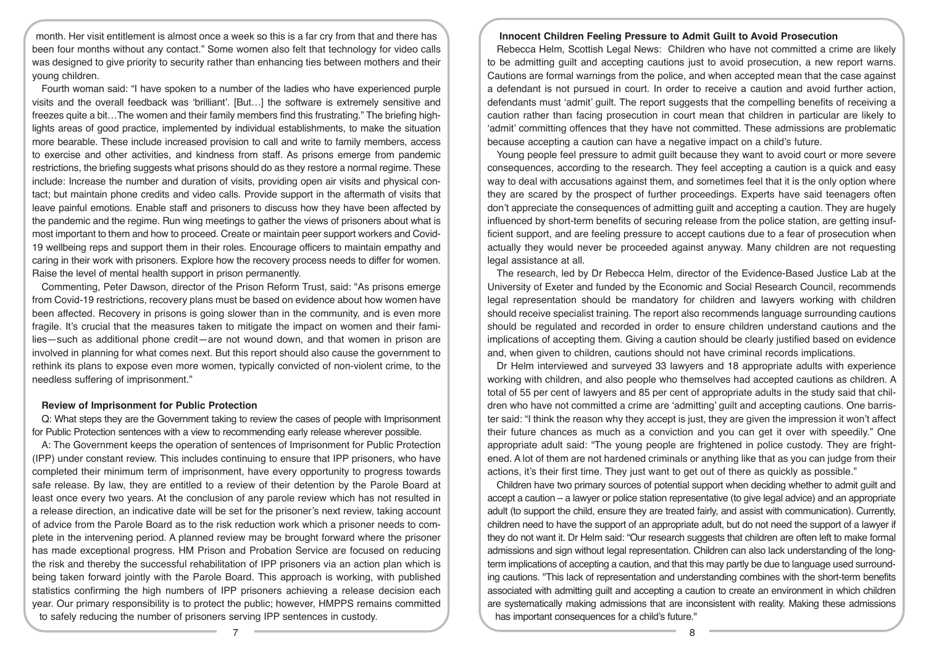month. Her visit entitlement is almost once a week so this is a far cry from that and there has been four months without any contact." Some women also felt that technology for video calls was designed to give priority to security rather than enhancing ties between mothers and their young children.

Fourth woman said: "I have spoken to a number of the ladies who have experienced purple visits and the overall feedback was 'brilliant'. [But…] the software is extremely sensitive and freezes quite a bit…The women and their family members find this frustrating." The briefing highlights areas of good practice, implemented by individual establishments, to make the situation more bearable. These include increased provision to call and write to family members, access to exercise and other activities, and kindness from staff. As prisons emerge from pandemic restrictions, the briefing suggests what prisons should do as they restore a normal regime. These include: Increase the number and duration of visits, providing open air visits and physical contact; but maintain phone credits and video calls. Provide support in the aftermath of visits that leave painful emotions. Enable staff and prisoners to discuss how they have been affected by the pandemic and the regime. Run wing meetings to gather the views of prisoners about what is most important to them and how to proceed. Create or maintain peer support workers and Covid-19 wellbeing reps and support them in their roles. Encourage officers to maintain empathy and caring in their work with prisoners. Explore how the recovery process needs to differ for women. Raise the level of mental health support in prison permanently.

Commenting, Peter Dawson, director of the Prison Reform Trust, said: "As prisons emerge from Covid-19 restrictions, recovery plans must be based on evidence about how women have been affected. Recovery in prisons is going slower than in the community, and is even more fragile. It's crucial that the measures taken to mitigate the impact on women and their families—such as additional phone credit—are not wound down, and that women in prison are involved in planning for what comes next. But this report should also cause the government to rethink its plans to expose even more women, typically convicted of non-violent crime, to the needless suffering of imprisonment."

#### **Review of Imprisonment for Public Protection**

Q: What steps they are the Government taking to review the cases of people with Imprisonment for Public Protection sentences with a view to recommending early release wherever possible.

A: The Government keeps the operation of sentences of Imprisonment for Public Protection (IPP) under constant review. This includes continuing to ensure that IPP prisoners, who have completed their minimum term of imprisonment, have every opportunity to progress towards safe release. By law, they are entitled to a review of their detention by the Parole Board at least once every two years. At the conclusion of any parole review which has not resulted in a release direction, an indicative date will be set for the prisoner's next review, taking account of advice from the Parole Board as to the risk reduction work which a prisoner needs to complete in the intervening period. A planned review may be brought forward where the prisoner has made exceptional progress. HM Prison and Probation Service are focused on reducing the risk and thereby the successful rehabilitation of IPP prisoners via an action plan which is being taken forward jointly with the Parole Board. This approach is working, with published statistics confirming the high numbers of IPP prisoners achieving a release decision each year. Our primary responsibility is to protect the public; however, HMPPS remains committed to safely reducing the number of prisoners serving IPP sentences in custody.

#### **Innocent Children Feeling Pressure to Admit Guilt to Avoid Prosecution**

Rebecca Helm, Scottish Legal News: Children who have not committed a crime are likely to be admitting guilt and accepting cautions just to avoid prosecution, a new report warns. Cautions are formal warnings from the police, and when accepted mean that the case against a defendant is not pursued in court. In order to receive a caution and avoid further action, defendants must 'admit' guilt. The report suggests that the compelling benefits of receiving a caution rather than facing prosecution in court mean that children in particular are likely to 'admit' committing offences that they have not committed. These admissions are problematic because accepting a caution can have a negative impact on a child's future.

Young people feel pressure to admit guilt because they want to avoid court or more severe consequences, according to the research. They feel accepting a caution is a quick and easy way to deal with accusations against them, and sometimes feel that it is the only option where they are scared by the prospect of further proceedings. Experts have said teenagers often don't appreciate the consequences of admitting guilt and accepting a caution. They are hugely influenced by short-term benefits of securing release from the police station, are getting insufficient support, and are feeling pressure to accept cautions due to a fear of prosecution when actually they would never be proceeded against anyway. Many children are not requesting legal assistance at all.

The research, led by Dr Rebecca Helm, director of the Evidence-Based Justice Lab at the University of Exeter and funded by the Economic and Social Research Council, recommends legal representation should be mandatory for children and lawyers working with children should receive specialist training. The report also recommends language surrounding cautions should be regulated and recorded in order to ensure children understand cautions and the implications of accepting them. Giving a caution should be clearly justified based on evidence and, when given to children, cautions should not have criminal records implications.

Dr Helm interviewed and surveyed 33 lawyers and 18 appropriate adults with experience working with children, and also people who themselves had accepted cautions as children. A total of 55 per cent of lawyers and 85 per cent of appropriate adults in the study said that children who have not committed a crime are 'admitting' guilt and accepting cautions. One barrister said: "I think the reason why they accept is just, they are given the impression it won't affect their future chances as much as a conviction and you can get it over with speedily." One appropriate adult said: "The young people are frightened in police custody. They are frightened. A lot of them are not hardened criminals or anything like that as you can judge from their actions, it's their first time. They just want to get out of there as quickly as possible."

Children have two primary sources of potential support when deciding whether to admit guilt and accept a caution – a lawyer or police station representative (to give legal advice) and an appropriate adult (to support the child, ensure they are treated fairly, and assist with communication). Currently, children need to have the support of an appropriate adult, but do not need the support of a lawyer if they do not want it. Dr Helm said: "Our research suggests that children are often left to make formal admissions and sign without legal representation. Children can also lack understanding of the longterm implications of accepting a caution, and that this may partly be due to language used surrounding cautions. "This lack of representation and understanding combines with the short-term benefits associated with admitting guilt and accepting a caution to create an environment in which children are systematically making admissions that are inconsistent with reality. Making these admissions has important consequences for a child's future."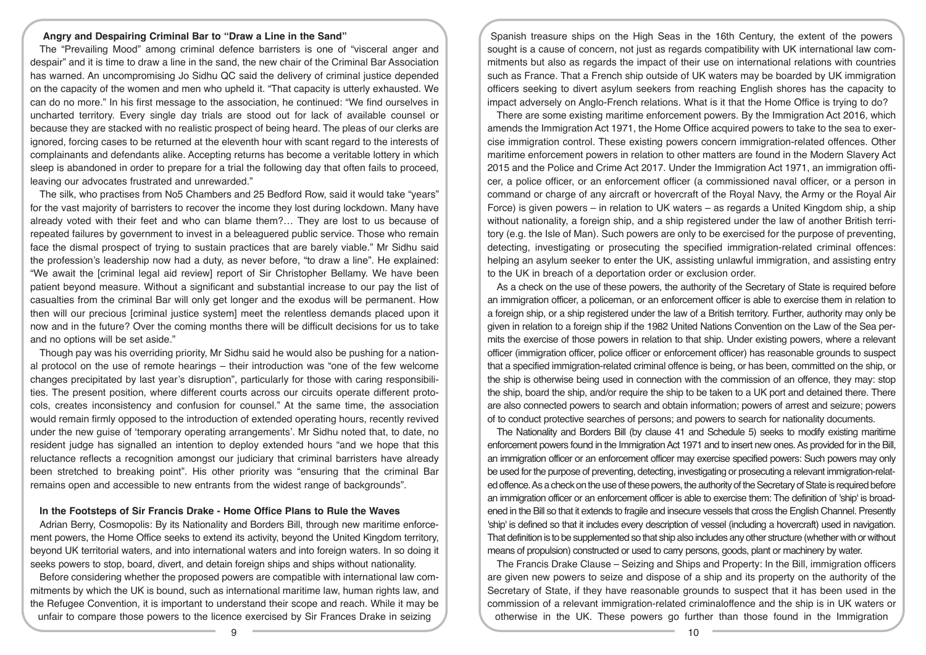#### **Angry and Despairing Criminal Bar to "Draw a Line in the Sand"**

The "Prevailing Mood" among criminal defence barristers is one of "visceral anger and despair" and it is time to draw a line in the sand, the new chair of the Criminal Bar Association has warned. An uncompromising Jo Sidhu QC said the delivery of criminal justice depended on the capacity of the women and men who upheld it. "That capacity is utterly exhausted. We can do no more." In his first message to the association, he continued: "We find ourselves in uncharted territory. Every single day trials are stood out for lack of available counsel or because they are stacked with no realistic prospect of being heard. The pleas of our clerks are ignored, forcing cases to be returned at the eleventh hour with scant regard to the interests of complainants and defendants alike. Accepting returns has become a veritable lottery in which sleep is abandoned in order to prepare for a trial the following day that often fails to proceed, leaving our advocates frustrated and unrewarded."

The silk, who practises from No5 Chambers and 25 Bedford Row, said it would take "years" for the vast majority of barristers to recover the income they lost during lockdown. Many have already voted with their feet and who can blame them?… They are lost to us because of repeated failures by government to invest in a beleaguered public service. Those who remain face the dismal prospect of trying to sustain practices that are barely viable." Mr Sidhu said the profession's leadership now had a duty, as never before, "to draw a line". He explained: "We await the [criminal legal aid review] report of Sir Christopher Bellamy. We have been patient beyond measure. Without a significant and substantial increase to our pay the list of casualties from the criminal Bar will only get longer and the exodus will be permanent. How then will our precious [criminal justice system] meet the relentless demands placed upon it now and in the future? Over the coming months there will be difficult decisions for us to take and no options will be set aside."

Though pay was his overriding priority, Mr Sidhu said he would also be pushing for a national protocol on the use of remote hearings – their introduction was "one of the few welcome changes precipitated by last year's disruption", particularly for those with caring responsibilities. The present position, where different courts across our circuits operate different protocols, creates inconsistency and confusion for counsel." At the same time, the association would remain firmly opposed to the introduction of extended operating hours, recently revived under the new guise of 'temporary operating arrangements'. Mr Sidhu noted that, to date, no resident judge has signalled an intention to deploy extended hours "and we hope that this reluctance reflects a recognition amongst our judiciary that criminal barristers have already been stretched to breaking point". His other priority was "ensuring that the criminal Bar remains open and accessible to new entrants from the widest range of backgrounds".

#### **In the Footsteps of Sir Francis Drake - Home Office Plans to Rule the Waves**

Adrian Berry, Cosmopolis: By its Nationality and Borders Bill, through new maritime enforcement powers, the Home Office seeks to extend its activity, beyond the United Kingdom territory, beyond UK territorial waters, and into international waters and into foreign waters. In so doing it seeks powers to stop, board, divert, and detain foreign ships and ships without nationality.

Before considering whether the proposed powers are compatible with international law commitments by which the UK is bound, such as international maritime law, human rights law, and the Refugee Convention, it is important to understand their scope and reach. While it may be unfair to compare those powers to the licence exercised by Sir Frances Drake in seizing

Spanish treasure ships on the High Seas in the 16th Century, the extent of the powers sought is a cause of concern, not just as regards compatibility with UK international law commitments but also as regards the impact of their use on international relations with countries such as France. That a French ship outside of UK waters may be boarded by UK immigration officers seeking to divert asylum seekers from reaching English shores has the capacity to impact adversely on Anglo-French relations. What is it that the Home Office is trying to do?

There are some existing maritime enforcement powers. By the Immigration Act 2016, which amends the Immigration Act 1971, the Home Office acquired powers to take to the sea to exercise immigration control. These existing powers concern immigration-related offences. Other maritime enforcement powers in relation to other matters are found in the Modern Slavery Act 2015 and the Police and Crime Act 2017. Under the Immigration Act 1971, an immigration officer, a police officer, or an enforcement officer (a commissioned naval officer, or a person in command or charge of any aircraft or hovercraft of the Royal Navy, the Army or the Royal Air Force) is given powers – in relation to UK waters – as regards a United Kingdom ship, a ship without nationality, a foreign ship, and a ship registered under the law of another British territory (e.g. the Isle of Man). Such powers are only to be exercised for the purpose of preventing, detecting, investigating or prosecuting the specified immigration-related criminal offences: helping an asylum seeker to enter the UK, assisting unlawful immigration, and assisting entry to the UK in breach of a deportation order or exclusion order.

As a check on the use of these powers, the authority of the Secretary of State is required before an immigration officer, a policeman, or an enforcement officer is able to exercise them in relation to a foreign ship, or a ship registered under the law of a British territory. Further, authority may only be given in relation to a foreign ship if the 1982 United Nations Convention on the Law of the Sea permits the exercise of those powers in relation to that ship. Under existing powers, where a relevant officer (immigration officer, police officer or enforcement officer) has reasonable grounds to suspect that a specified immigration-related criminal offence is being, or has been, committed on the ship, or the ship is otherwise being used in connection with the commission of an offence, they may: stop the ship, board the ship, and/or require the ship to be taken to a UK port and detained there. There are also connected powers to search and obtain information; powers of arrest and seizure; powers of to conduct protective searches of persons; and powers to search for nationality documents.

The Nationality and Borders Bill (by clause 41 and Schedule 5) seeks to modify existing maritime enforcement powers found in the Immigration Act 1971 and to insert new ones. As provided for in the Bill, an immigration officer or an enforcement officer may exercise specified powers: Such powers may only be used for the purpose of preventing, detecting, investigating or prosecuting a relevant immigration-related offence. As a check on the use of these powers, the authority of the Secretary of State is required before an immigration officer or an enforcement officer is able to exercise them: The definition of 'ship' is broadened in the Bill so that it extends to fragile and insecure vessels that cross the English Channel. Presently 'ship' is defined so that it includes every description of vessel (including a hovercraft) used in navigation. That definition is to be supplemented so that ship also includes any other structure (whether with or without means of propulsion) constructed or used to carry persons, goods, plant or machinery by water.

The Francis Drake Clause – Seizing and Ships and Property: In the Bill, immigration officers are given new powers to seize and dispose of a ship and its property on the authority of the Secretary of State, if they have reasonable grounds to suspect that it has been used in the commission of a relevant immigration-related criminaloffence and the ship is in UK waters or otherwise in the UK. These powers go further than those found in the Immigration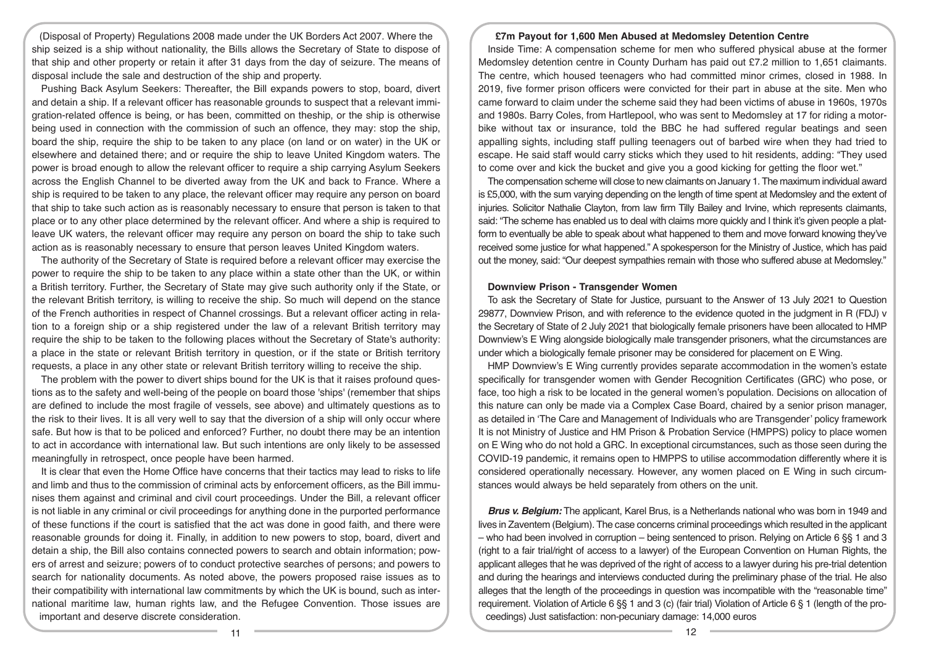(Disposal of Property) Regulations 2008 made under the UK Borders Act 2007. Where the ship seized is a ship without nationality, the Bills allows the Secretary of State to dispose of that ship and other property or retain it after 31 days from the day of seizure. The means of disposal include the sale and destruction of the ship and property.

Pushing Back Asylum Seekers: Thereafter, the Bill expands powers to stop, board, divert and detain a ship. If a relevant officer has reasonable grounds to suspect that a relevant immigration-related offence is being, or has been, committed on theship, or the ship is otherwise being used in connection with the commission of such an offence, they may: stop the ship, board the ship, require the ship to be taken to any place (on land or on water) in the UK or elsewhere and detained there; and or require the ship to leave United Kingdom waters. The power is broad enough to allow the relevant officer to require a ship carrying Asylum Seekers across the English Channel to be diverted away from the UK and back to France. Where a ship is required to be taken to any place, the relevant officer may require any person on board that ship to take such action as is reasonably necessary to ensure that person is taken to that place or to any other place determined by the relevant officer. And where a ship is required to leave UK waters, the relevant officer may require any person on board the ship to take such action as is reasonably necessary to ensure that person leaves United Kingdom waters.

The authority of the Secretary of State is required before a relevant officer may exercise the power to require the ship to be taken to any place within a state other than the UK, or within a British territory. Further, the Secretary of State may give such authority only if the State, or the relevant British territory, is willing to receive the ship. So much will depend on the stance of the French authorities in respect of Channel crossings. But a relevant officer acting in relation to a foreign ship or a ship registered under the law of a relevant British territory may require the ship to be taken to the following places without the Secretary of State's authority: a place in the state or relevant British territory in question, or if the state or British territory requests, a place in any other state or relevant British territory willing to receive the ship.

The problem with the power to divert ships bound for the UK is that it raises profound questions as to the safety and well-being of the people on board those 'ships' (remember that ships are defined to include the most fragile of vessels, see above) and ultimately questions as to the risk to their lives. It is all very well to say that the diversion of a ship will only occur where safe. But how is that to be policed and enforced? Further, no doubt there may be an intention to act in accordance with international law. But such intentions are only likely to be assessed meaningfully in retrospect, once people have been harmed.

It is clear that even the Home Office have concerns that their tactics may lead to risks to life and limb and thus to the commission of criminal acts by enforcement officers, as the Bill immunises them against and criminal and civil court proceedings. Under the Bill, a relevant officer is not liable in any criminal or civil proceedings for anything done in the purported performance of these functions if the court is satisfied that the act was done in good faith, and there were reasonable grounds for doing it. Finally, in addition to new powers to stop, board, divert and detain a ship, the Bill also contains connected powers to search and obtain information; powers of arrest and seizure; powers of to conduct protective searches of persons; and powers to search for nationality documents. As noted above, the powers proposed raise issues as to their compatibility with international law commitments by which the UK is bound, such as international maritime law, human rights law, and the Refugee Convention. Those issues are important and deserve discrete consideration.

#### **£7m Payout for 1,600 Men Abused at Medomsley Detention Centre**

Inside Time: A compensation scheme for men who suffered physical abuse at the former Medomsley detention centre in County Durham has paid out £7.2 million to 1,651 claimants. The centre, which housed teenagers who had committed minor crimes, closed in 1988. In 2019, five former prison officers were convicted for their part in abuse at the site. Men who came forward to claim under the scheme said they had been victims of abuse in 1960s, 1970s and 1980s. Barry Coles, from Hartlepool, who was sent to Medomsley at 17 for riding a motorbike without tax or insurance, told the BBC he had suffered regular beatings and seen appalling sights, including staff pulling teenagers out of barbed wire when they had tried to escape. He said staff would carry sticks which they used to hit residents, adding: "They used to come over and kick the bucket and give you a good kicking for getting the floor wet."

The compensation scheme will close to new claimants on January 1. The maximum individual award is £5,000, with the sum varying depending on the length of time spent at Medomsley and the extent of injuries. Solicitor Nathalie Clayton, from law firm Tilly Bailey and Irvine, which represents claimants, said: "The scheme has enabled us to deal with claims more quickly and I think it's given people a platform to eventually be able to speak about what happened to them and move forward knowing they've received some justice for what happened." A spokesperson for the Ministry of Justice, which has paid out the money, said: "Our deepest sympathies remain with those who suffered abuse at Medomsley."

#### **Downview Prison - Transgender Women**

To ask the Secretary of State for Justice, pursuant to the Answer of 13 July 2021 to Question 29877, Downview Prison, and with reference to the evidence quoted in the judgment in R (FDJ) v the Secretary of State of 2 July 2021 that biologically female prisoners have been allocated to HMP Downview's E Wing alongside biologically male transgender prisoners, what the circumstances are under which a biologically female prisoner may be considered for placement on E Wing.

HMP Downview's E Wing currently provides separate accommodation in the women's estate specifically for transgender women with Gender Recognition Certificates (GRC) who pose, or face, too high a risk to be located in the general women's population. Decisions on allocation of this nature can only be made via a Complex Case Board, chaired by a senior prison manager, as detailed in 'The Care and Management of Individuals who are Transgender' policy framework It is not Ministry of Justice and HM Prison & Probation Service (HMPPS) policy to place women on E Wing who do not hold a GRC. In exceptional circumstances, such as those seen during the COVID-19 pandemic, it remains open to HMPPS to utilise accommodation differently where it is considered operationally necessary. However, any women placed on E Wing in such circumstances would always be held separately from others on the unit.

*Brus v. Belgium:* The applicant, Karel Brus, is a Netherlands national who was born in 1949 and lives in Zaventem (Belgium). The case concerns criminal proceedings which resulted in the applicant – who had been involved in corruption – being sentenced to prison. Relying on Article 6 §§ 1 and 3 (right to a fair trial/right of access to a lawyer) of the European Convention on Human Rights, the applicant alleges that he was deprived of the right of access to a lawyer during his pre-trial detention and during the hearings and interviews conducted during the preliminary phase of the trial. He also alleges that the length of the proceedings in question was incompatible with the "reasonable time" requirement. Violation of Article 6 §§ 1 and 3 (c) (fair trial) Violation of Article 6 § 1 (length of the proceedings) Just satisfaction: non-pecuniary damage: 14,000 euros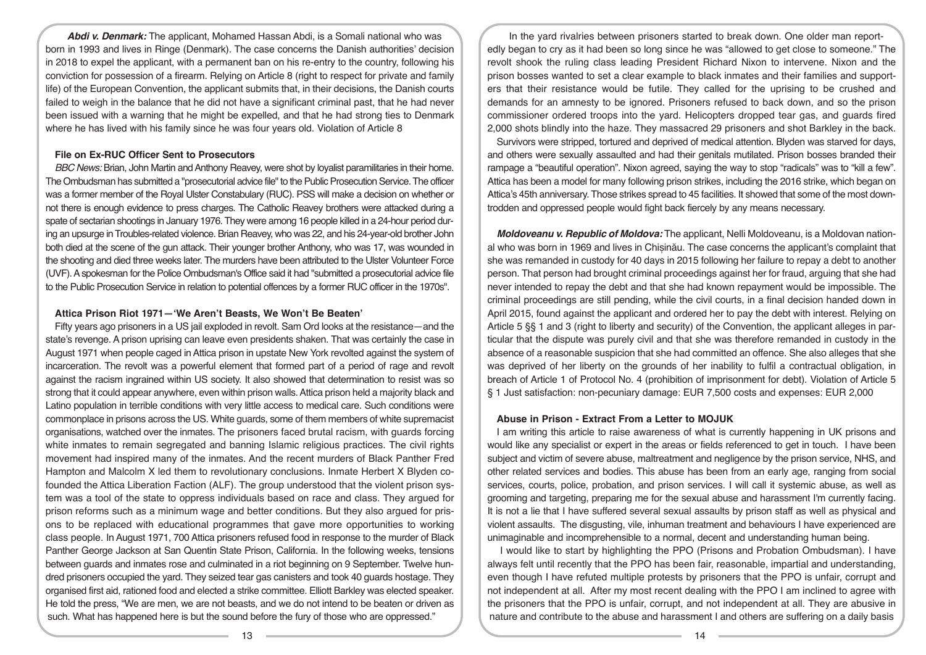*Abdi v. Denmark:* The applicant, Mohamed Hassan Abdi, is a Somali national who was born in 1993 and lives in Ringe (Denmark). The case concerns the Danish authorities' decision in 2018 to expel the applicant, with a permanent ban on his re-entry to the country, following his conviction for possession of a firearm. Relying on Article 8 (right to respect for private and family life) of the European Convention, the applicant submits that, in their decisions, the Danish courts failed to weigh in the balance that he did not have a significant criminal past, that he had never been issued with a warning that he might be expelled, and that he had strong ties to Denmark where he has lived with his family since he was four years old. Violation of Article 8

## **File on Ex-RUC Officer Sent to Prosecutors**

*BBC News:* Brian, John Martin and Anthony Reavey, were shot by loyalist paramilitaries in their home. The Ombudsman has submitted a "prosecutorial advice file" to the Public Prosecution Service. The officer was a former member of the Royal Ulster Constabulary (RUC). PSS will make a decision on whether or not there is enough evidence to press charges. The Catholic Reavey brothers were attacked during a spate of sectarian shootings in January 1976. They were among 16 people killed in a 24-hour period during an upsurge in Troubles-related violence. Brian Reavey, who was 22, and his 24-year-old brother John both died at the scene of the gun attack. Their younger brother Anthony, who was 17, was wounded in the shooting and died three weeks later. The murders have been attributed to the Ulster Volunteer Force (UVF). A spokesman for the Police Ombudsman's Office said it had "submitted a prosecutorial advice file to the Public Prosecution Service in relation to potential offences by a former RUC officer in the 1970s".

## **Attica Prison Riot 1971—'We Aren't Beasts, We Won't Be Beaten'**

Fifty years ago prisoners in a US jail exploded in revolt. Sam Ord looks at the resistance—and the state's revenge. A prison uprising can leave even presidents shaken. That was certainly the case in August 1971 when people caged in Attica prison in upstate New York revolted against the system of incarceration. The revolt was a powerful element that formed part of a period of rage and revolt against the racism ingrained within US society. It also showed that determination to resist was so strong that it could appear anywhere, even within prison walls. Attica prison held a majority black and Latino population in terrible conditions with very little access to medical care. Such conditions were commonplace in prisons across the US. White guards, some of them members of white supremacist organisations, watched over the inmates. The prisoners faced brutal racism, with guards forcing white inmates to remain segregated and banning Islamic religious practices. The civil rights movement had inspired many of the inmates. And the recent murders of Black Panther Fred Hampton and Malcolm X led them to revolutionary conclusions. Inmate Herbert X Blyden cofounded the Attica Liberation Faction (ALF). The group understood that the violent prison system was a tool of the state to oppress individuals based on race and class. They argued for prison reforms such as a minimum wage and better conditions. But they also argued for prisons to be replaced with educational programmes that gave more opportunities to working class people. In August 1971, 700 Attica prisoners refused food in response to the murder of Black Panther George Jackson at San Quentin State Prison, California. In the following weeks, tensions between guards and inmates rose and culminated in a riot beginning on 9 September. Twelve hundred prisoners occupied the yard. They seized tear gas canisters and took 40 guards hostage. They organised first aid, rationed food and elected a strike committee. Elliott Barkley was elected speaker. He told the press, "We are men, we are not beasts, and we do not intend to be beaten or driven as such. What has happened here is but the sound before the fury of those who are oppressed."

In the yard rivalries between prisoners started to break down. One older man reportedly began to cry as it had been so long since he was "allowed to get close to someone." The revolt shook the ruling class leading President Richard Nixon to intervene. Nixon and the prison bosses wanted to set a clear example to black inmates and their families and supporters that their resistance would be futile. They called for the uprising to be crushed and demands for an amnesty to be ignored. Prisoners refused to back down, and so the prison commissioner ordered troops into the yard. Helicopters dropped tear gas, and guards fired 2,000 shots blindly into the haze. They massacred 29 prisoners and shot Barkley in the back.

Survivors were stripped, tortured and deprived of medical attention. Blyden was starved for days, and others were sexually assaulted and had their genitals mutilated. Prison bosses branded their rampage a "beautiful operation". Nixon agreed, saying the way to stop "radicals" was to "kill a few". Attica has been a model for many following prison strikes, including the 2016 strike, which began on Attica's 45th anniversary. Those strikes spread to 45 facilities. It showed that some of the most downtrodden and oppressed people would fight back fiercely by any means necessary.

*Moldoveanu v. Republic of Moldova:* The applicant, Nelli Moldoveanu, is a Moldovan national who was born in 1969 and lives in Chișinău. The case concerns the applicant's complaint that she was remanded in custody for 40 days in 2015 following her failure to repay a debt to another person. That person had brought criminal proceedings against her for fraud, arguing that she had never intended to repay the debt and that she had known repayment would be impossible. The criminal proceedings are still pending, while the civil courts, in a final decision handed down in April 2015, found against the applicant and ordered her to pay the debt with interest. Relying on Article 5 §§ 1 and 3 (right to liberty and security) of the Convention, the applicant alleges in particular that the dispute was purely civil and that she was therefore remanded in custody in the absence of a reasonable suspicion that she had committed an offence. She also alleges that she was deprived of her liberty on the grounds of her inability to fulfil a contractual obligation, in breach of Article 1 of Protocol No. 4 (prohibition of imprisonment for debt). Violation of Article 5 § 1 Just satisfaction: non-pecuniary damage: EUR 7,500 costs and expenses: EUR 2,000

### **Abuse in Prison - Extract From a Letter to MOJUK**

I am writing this article to raise awareness of what is currently happening in UK prisons and would like any specialist or expert in the areas or fields referenced to get in touch. I have been subject and victim of severe abuse, maltreatment and negligence by the prison service, NHS, and other related services and bodies. This abuse has been from an early age, ranging from social services, courts, police, probation, and prison services. I will call it systemic abuse, as well as grooming and targeting, preparing me for the sexual abuse and harassment I'm currently facing. It is not a lie that I have suffered several sexual assaults by prison staff as well as physical and violent assaults. The disgusting, vile, inhuman treatment and behaviours I have experienced are unimaginable and incomprehensible to a normal, decent and understanding human being.

 I would like to start by highlighting the PPO (Prisons and Probation Ombudsman). I have always felt until recently that the PPO has been fair, reasonable, impartial and understanding, even though I have refuted multiple protests by prisoners that the PPO is unfair, corrupt and not independent at all. After my most recent dealing with the PPO I am inclined to agree with the prisoners that the PPO is unfair, corrupt, and not independent at all. They are abusive in nature and contribute to the abuse and harassment I and others are suffering on a daily basis